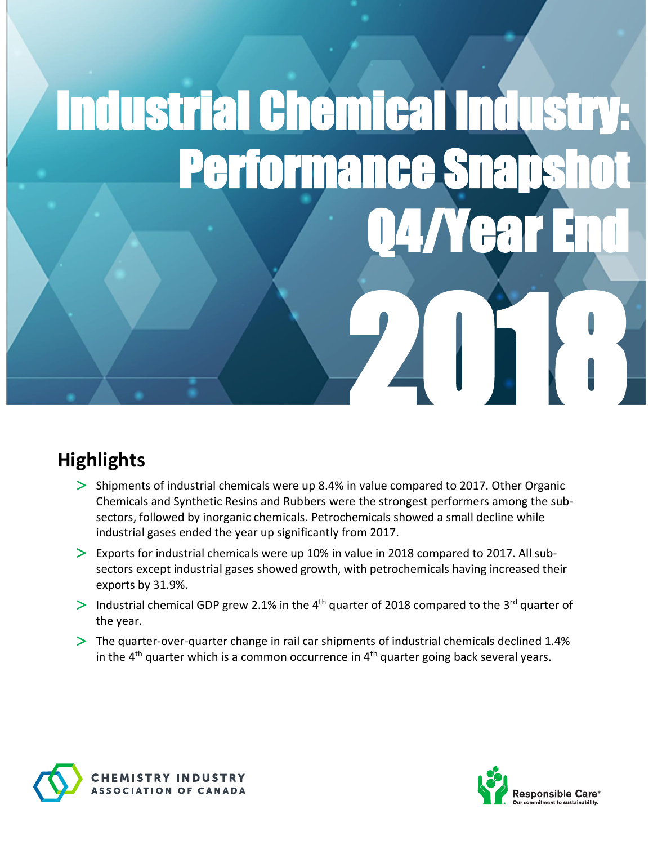# Industrial Chemical Industry: Performance Sna Q4/Yea 24018

## **Highlights**

- $>$  Shipments of industrial chemicals were up 8.4% in value compared to 2017. Other Organic Chemicals and Synthetic Resins and Rubbers were the strongest performers among the subsectors, followed by inorganic chemicals. Petrochemicals showed a small decline while industrial gases ended the year up significantly from 2017.
- $>$  Exports for industrial chemicals were up 10% in value in 2018 compared to 2017. All subsectors except industrial gases showed growth, with petrochemicals having increased their exports by 31.9%.
- > Industrial chemical GDP grew 2.1% in the 4<sup>th</sup> quarter of 2018 compared to the 3<sup>rd</sup> quarter of the year.
- The quarter-over-quarter change in rail car shipments of industrial chemicals declined 1.4% in the 4<sup>th</sup> quarter which is a common occurrence in 4<sup>th</sup> quarter going back several years.



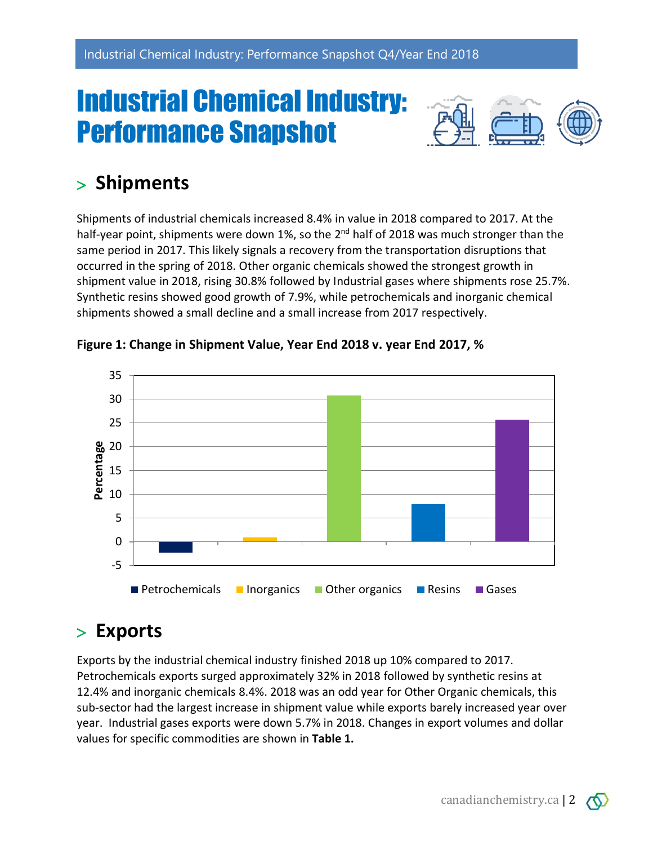## Industrial Chemical Industry: Performance Snapshot



## **Shipments**

Shipments of industrial chemicals increased 8.4% in value in 2018 compared to 2017. At the half-year point, shipments were down 1%, so the 2<sup>nd</sup> half of 2018 was much stronger than the same period in 2017. This likely signals a recovery from the transportation disruptions that occurred in the spring of 2018. Other organic chemicals showed the strongest growth in shipment value in 2018, rising 30.8% followed by Industrial gases where shipments rose 25.7%. Synthetic resins showed good growth of 7.9%, while petrochemicals and inorganic chemical shipments showed a small decline and a small increase from 2017 respectively.



**Figure 1: Change in Shipment Value, Year End 2018 v. year End 2017, %**

### **Exports**

Exports by the industrial chemical industry finished 2018 up 10% compared to 2017. Petrochemicals exports surged approximately 32% in 2018 followed by synthetic resins at 12.4% and inorganic chemicals 8.4%. 2018 was an odd year for Other Organic chemicals, this sub-sector had the largest increase in shipment value while exports barely increased year over year. Industrial gases exports were down 5.7% in 2018. Changes in export volumes and dollar values for specific commodities are shown in **Table 1.**

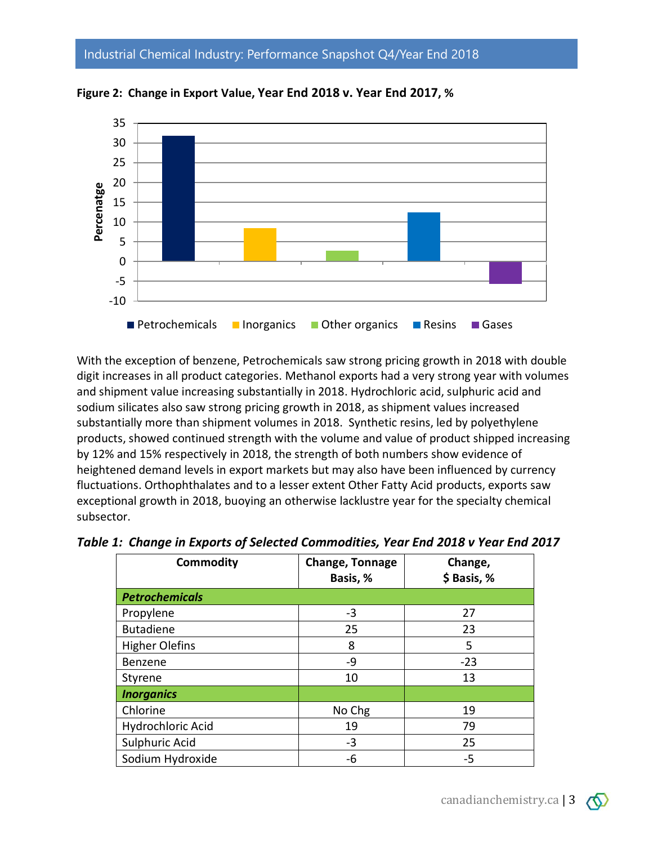Industrial Chemical Industry: Performance Snapshot Q4/Year End 2018



**Figure 2: Change in Export Value, Year End 2018 v. Year End 2017, %**

With the exception of benzene, Petrochemicals saw strong pricing growth in 2018 with double digit increases in all product categories. Methanol exports had a very strong year with volumes and shipment value increasing substantially in 2018. Hydrochloric acid, sulphuric acid and sodium silicates also saw strong pricing growth in 2018, as shipment values increased substantially more than shipment volumes in 2018. Synthetic resins, led by polyethylene products, showed continued strength with the volume and value of product shipped increasing by 12% and 15% respectively in 2018, the strength of both numbers show evidence of heightened demand levels in export markets but may also have been influenced by currency fluctuations. Orthophthalates and to a lesser extent Other Fatty Acid products, exports saw exceptional growth in 2018, buoying an otherwise lacklustre year for the specialty chemical subsector.

| <b>Commodity</b>      | Change, Tonnage<br>Basis, % | Change,<br>\$ Basis, % |
|-----------------------|-----------------------------|------------------------|
| <b>Petrochemicals</b> |                             |                        |
| Propylene             | $-3$                        | 27                     |
| <b>Butadiene</b>      | 25                          | 23                     |
| <b>Higher Olefins</b> | 8                           | 5                      |
| Benzene               | -9                          | $-23$                  |
| Styrene               | 10                          | 13                     |
| <b>Inorganics</b>     |                             |                        |
| Chlorine              | No Chg                      | 19                     |
| Hydrochloric Acid     | 19                          | 79                     |
| Sulphuric Acid        | $-3$                        | 25                     |
| Sodium Hydroxide      | -6                          | -5                     |

*Table 1: Change in Exports of Selected Commodities, Year End 2018 v Year End 2017*

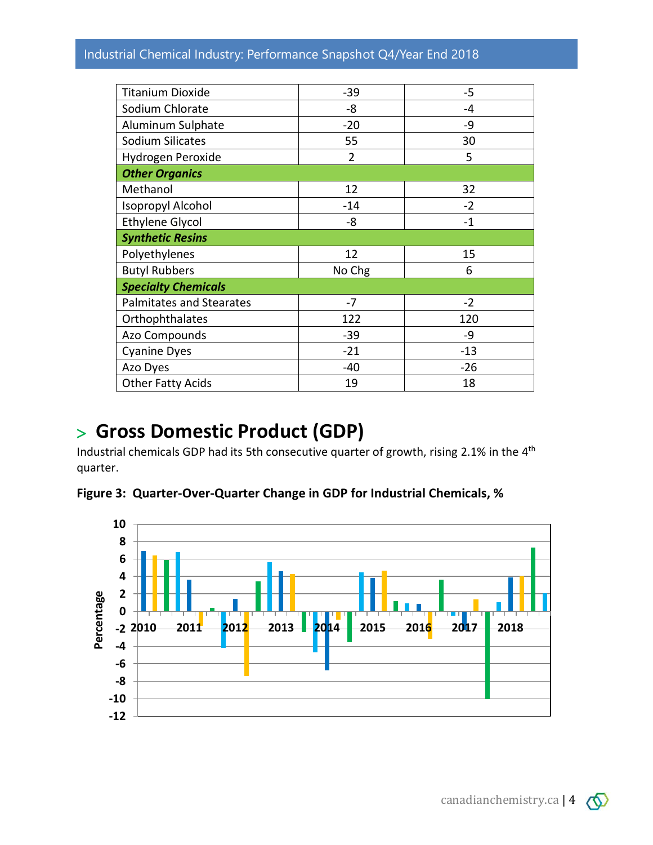#### Industrial Chemical Industry: Performance Snapshot Q4/Year End 2018

| <b>Titanium Dioxide</b>         | $-39$          | $-5$  |  |
|---------------------------------|----------------|-------|--|
| Sodium Chlorate                 | -8             | -4    |  |
| Aluminum Sulphate               | $-20$          | -9    |  |
| Sodium Silicates                | 55             | 30    |  |
| Hydrogen Peroxide               | $\overline{2}$ | 5     |  |
| <b>Other Organics</b>           |                |       |  |
| Methanol                        | 12             | 32    |  |
| <b>Isopropyl Alcohol</b>        | $-14$          | $-2$  |  |
| <b>Ethylene Glycol</b>          | -8             | $-1$  |  |
| <b>Synthetic Resins</b>         |                |       |  |
| Polyethylenes                   | 12             | 15    |  |
| <b>Butyl Rubbers</b>            | No Chg         | 6     |  |
| <b>Specialty Chemicals</b>      |                |       |  |
| <b>Palmitates and Stearates</b> | $-7$           | $-2$  |  |
| Orthophthalates                 | 122            | 120   |  |
| Azo Compounds                   | $-39$          | -9    |  |
| <b>Cyanine Dyes</b>             | $-21$          | $-13$ |  |
| Azo Dyes                        | $-40$          | $-26$ |  |
| <b>Other Fatty Acids</b>        | 19             | 18    |  |

#### **Gross Domestic Product (GDP)**

Industrial chemicals GDP had its 5th consecutive quarter of growth, rising 2.1% in the 4<sup>th</sup> quarter.

**Figure 3: Quarter-Over-Quarter Change in GDP for Industrial Chemicals, %**

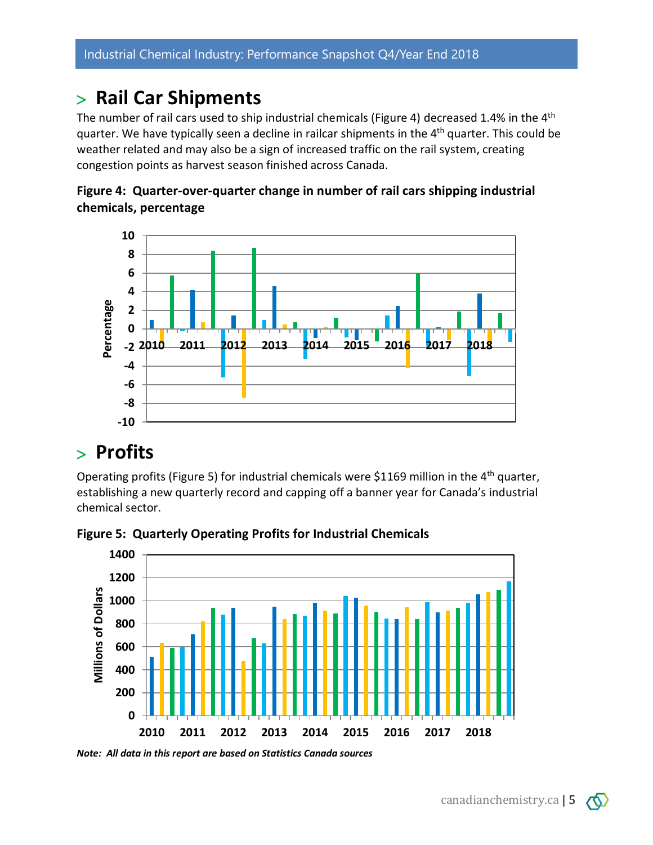#### **Rail Car Shipments**

The number of rail cars used to ship industrial chemicals (Figure 4) decreased 1.4% in the 4<sup>th</sup> quarter. We have typically seen a decline in railcar shipments in the 4<sup>th</sup> quarter. This could be weather related and may also be a sign of increased traffic on the rail system, creating congestion points as harvest season finished across Canada.





#### **Profits**

Operating profits (Figure 5) for industrial chemicals were \$1169 million in the 4<sup>th</sup> quarter, establishing a new quarterly record and capping off a banner year for Canada's industrial chemical sector.



**Figure 5: Quarterly Operating Profits for Industrial Chemicals**

*Note: All data in this report are based on Statistics Canada sources*